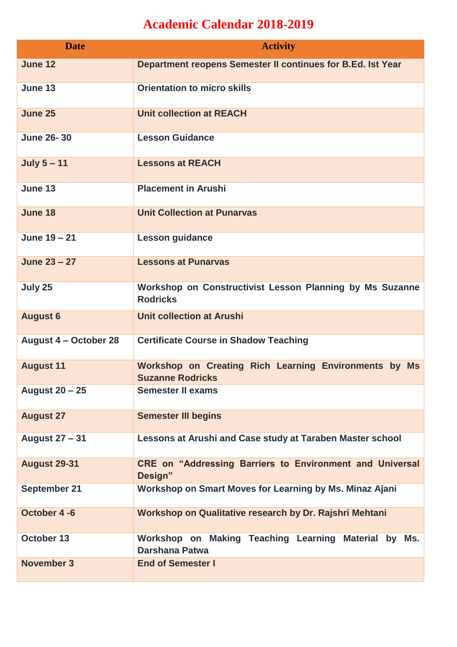## **Academic Calendar 2018-2019**

| <b>Date</b>           | <b>Activity</b>                                                                  |
|-----------------------|----------------------------------------------------------------------------------|
| June 12               | Department reopens Semester II continues for B.Ed. Ist Year                      |
| June 13               | <b>Orientation to micro skills</b>                                               |
| <b>June 25</b>        | <b>Unit collection at REACH</b>                                                  |
| <b>June 26-30</b>     | <b>Lesson Guidance</b>                                                           |
| July $5 - 11$         | <b>Lessons at REACH</b>                                                          |
| June 13               | <b>Placement in Arushi</b>                                                       |
| June 18               | <b>Unit Collection at Punarvas</b>                                               |
| June 19 - 21          | <b>Lesson guidance</b>                                                           |
| June 23 - 27          | <b>Lessons at Punarvas</b>                                                       |
| July 25               | Workshop on Constructivist Lesson Planning by Ms Suzanne<br><b>Rodricks</b>      |
| <b>August 6</b>       | <b>Unit collection at Arushi</b>                                                 |
| August 4 – October 28 | <b>Certificate Course in Shadow Teaching</b>                                     |
| <b>August 11</b>      | Workshop on Creating Rich Learning Environments by Ms<br><b>Suzanne Rodricks</b> |
| August 20 - 25        | <b>Semester II exams</b>                                                         |
| <b>August 27</b>      | <b>Semester III begins</b>                                                       |
| August 27 - 31        | Lessons at Arushi and Case study at Taraben Master school                        |
| <b>August 29-31</b>   | <b>CRE on "Addressing Barriers to Environment and Universal</b><br>Design"       |
| <b>September 21</b>   | Workshop on Smart Moves for Learning by Ms. Minaz Ajani                          |
| October 4 -6          | Workshop on Qualitative research by Dr. Rajshri Mehtani                          |
| October 13            | Workshop on Making Teaching Learning Material by Ms.<br><b>Darshana Patwa</b>    |
| <b>November 3</b>     | <b>End of Semester I</b>                                                         |